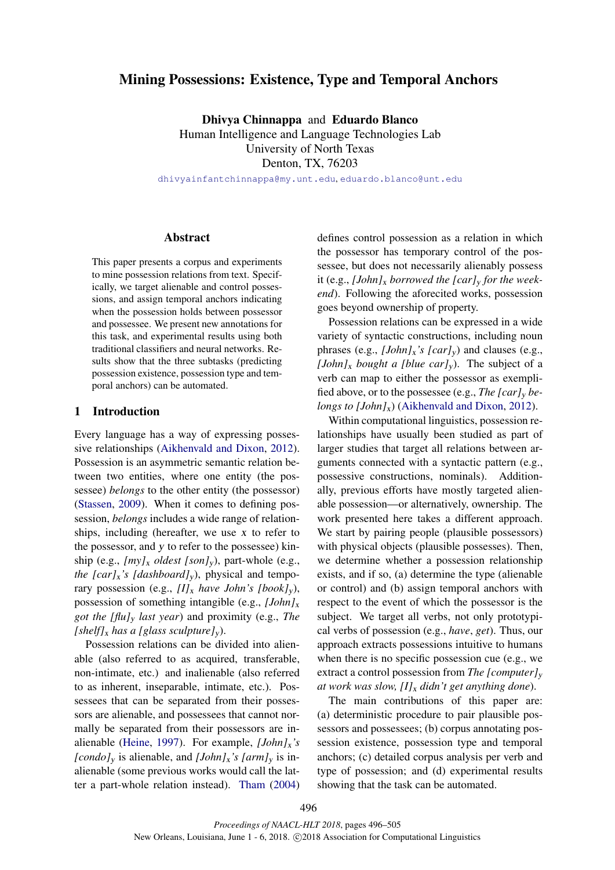# Mining Possessions: Existence, Type and Temporal Anchors

Dhivya Chinnappa and Eduardo Blanco Human Intelligence and Language Technologies Lab University of North Texas Denton, TX, 76203

dhivyainfantchinnappa@my.unt.edu, eduardo.blanco@unt.edu

#### Abstract

This paper presents a corpus and experiments to mine possession relations from text. Specifically, we target alienable and control possessions, and assign temporal anchors indicating when the possession holds between possessor and possessee. We present new annotations for this task, and experimental results using both traditional classifiers and neural networks. Results show that the three subtasks (predicting possession existence, possession type and temporal anchors) can be automated.

#### 1 Introduction

Every language has a way of expressing possessive relationships (Aikhenvald and Dixon, 2012). Possession is an asymmetric semantic relation between two entities, where one entity (the possessee) *belongs* to the other entity (the possessor) (Stassen, 2009). When it comes to defining possession, *belongs* includes a wide range of relationships, including (hereafter, we use x to refer to the possessor, and y to refer to the possessee) kinship (e.g., *[my]*<sup>x</sup> *oldest [son]*y), part-whole (e.g., *the [car]<sub>x</sub>'s [dashboard]<sub>y</sub>)*, physical and temporary possession (e.g.,  $[I]_x$  *have John's [book]<sub>y</sub>*), possession of something intangible (e.g., *[John]*<sup>x</sup> *got the [flu]*<sup>y</sup> *last year*) and proximity (e.g., *The [shelf]*<sup>x</sup> *has a [glass sculpture]*y).

Possession relations can be divided into alienable (also referred to as acquired, transferable, non-intimate, etc.) and inalienable (also referred to as inherent, inseparable, intimate, etc.). Possessees that can be separated from their possessors are alienable, and possessees that cannot normally be separated from their possessors are inalienable (Heine, 1997). For example, *[John]*x*'s [condo]*<sub>y</sub> is alienable, and *[John]*<sub>x</sub>*'s [arm]*<sub>y</sub> is inalienable (some previous works would call the latter a part-whole relation instead). Tham (2004)

defines control possession as a relation in which the possessor has temporary control of the possessee, but does not necessarily alienably possess it (e.g., *[John]*<sup>x</sup> *borrowed the [car]*<sup>y</sup> *for the weekend*). Following the aforecited works, possession goes beyond ownership of property.

Possession relations can be expressed in a wide variety of syntactic constructions, including noun phrases (e.g., *[John]*x*'s [car]*y) and clauses (e.g., *[John]<sub>x</sub> bought a [blue car]<sub>y</sub>*). The subject of a verb can map to either the possessor as exemplified above, or to the possessee (e.g., *The [car]*<sup>y</sup> *belongs to [John]<sub>x</sub>*) (Aikhenvald and Dixon, 2012).

Within computational linguistics, possession relationships have usually been studied as part of larger studies that target all relations between arguments connected with a syntactic pattern (e.g., possessive constructions, nominals). Additionally, previous efforts have mostly targeted alienable possession—or alternatively, ownership. The work presented here takes a different approach. We start by pairing people (plausible possessors) with physical objects (plausible possesses). Then, we determine whether a possession relationship exists, and if so, (a) determine the type (alienable or control) and (b) assign temporal anchors with respect to the event of which the possessor is the subject. We target all verbs, not only prototypical verbs of possession (e.g., *have*, *get*). Thus, our approach extracts possessions intuitive to humans when there is no specific possession cue (e.g., we extract a control possession from *The [computer]*<sub>y</sub> *at work was slow, [I]*<sup>x</sup> *didn't get anything done*).

The main contributions of this paper are: (a) deterministic procedure to pair plausible possessors and possessees; (b) corpus annotating possession existence, possession type and temporal anchors; (c) detailed corpus analysis per verb and type of possession; and (d) experimental results showing that the task can be automated.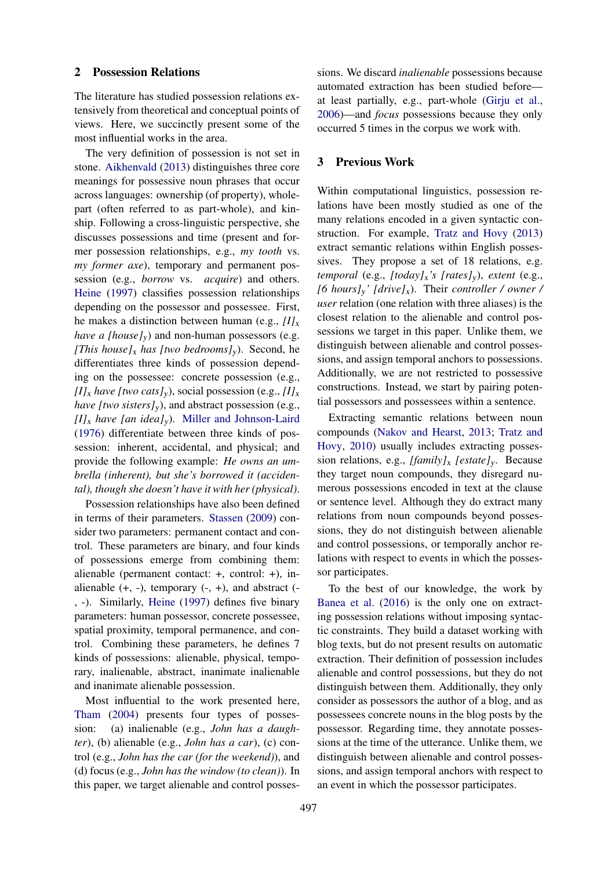#### 2 Possession Relations

The literature has studied possession relations extensively from theoretical and conceptual points of views. Here, we succinctly present some of the most influential works in the area.

The very definition of possession is not set in stone. Aikhenvald (2013) distinguishes three core meanings for possessive noun phrases that occur across languages: ownership (of property), wholepart (often referred to as part-whole), and kinship. Following a cross-linguistic perspective, she discusses possessions and time (present and former possession relationships, e.g., *my tooth* vs. *my former axe*), temporary and permanent possession (e.g., *borrow* vs. *acquire*) and others. Heine (1997) classifies possession relationships depending on the possessor and possessee. First, he makes a distinction between human (e.g.,  $II_x$ ) *have a [house]<sub>v</sub>*) and non-human possessors (e.g. *[This house]<sub>x</sub> has [two bedrooms]<sub>y</sub>*). Second, he differentiates three kinds of possession depending on the possessee: concrete possession (e.g.,  $[I]_x$  *have [two cats]<sub>y</sub>*), social possession (e.g.,  $[I]_x$ ) *have [two sisters]<sub>y</sub>*), and abstract possession (e.g.,  $[I]_x$  *have [an idea]<sub>y</sub>*). Miller and Johnson-Laird (1976) differentiate between three kinds of possession: inherent, accidental, and physical; and provide the following example: *He owns an umbrella (inherent), but she's borrowed it (accidental), though she doesn't have it with her (physical)*.

Possession relationships have also been defined in terms of their parameters. Stassen (2009) consider two parameters: permanent contact and control. These parameters are binary, and four kinds of possessions emerge from combining them: alienable (permanent contact: +, control: +), inalienable  $(+, -)$ , temporary  $(-, +)$ , and abstract  $(-, +)$ , -). Similarly, Heine (1997) defines five binary parameters: human possessor, concrete possessee, spatial proximity, temporal permanence, and control. Combining these parameters, he defines 7 kinds of possessions: alienable, physical, temporary, inalienable, abstract, inanimate inalienable and inanimate alienable possession.

Most influential to the work presented here, Tham (2004) presents four types of possession: (a) inalienable (e.g., *John has a daughter*), (b) alienable (e.g., *John has a car*), (c) control (e.g., *John has the car (for the weekend)*), and (d) focus (e.g., *John has the window (to clean)*). In this paper, we target alienable and control possessions. We discard *inalienable* possessions because automated extraction has been studied before at least partially, e.g., part-whole (Girju et al., 2006)—and *focus* possessions because they only occurred 5 times in the corpus we work with.

#### 3 Previous Work

Within computational linguistics, possession relations have been mostly studied as one of the many relations encoded in a given syntactic construction. For example, Tratz and Hovy (2013) extract semantic relations within English possessives. They propose a set of 18 relations, e.g. *temporal* (e.g., *[today]*x*'s [rates]*y), *extent* (e.g., *[6 hours]*y*' [drive]*x). Their *controller / owner / user* relation (one relation with three aliases) is the closest relation to the alienable and control possessions we target in this paper. Unlike them, we distinguish between alienable and control possessions, and assign temporal anchors to possessions. Additionally, we are not restricted to possessive constructions. Instead, we start by pairing potential possessors and possessees within a sentence.

Extracting semantic relations between noun compounds (Nakov and Hearst, 2013; Tratz and Hovy, 2010) usually includes extracting possession relations, e.g., *[family]*<sup>x</sup> *[estate]*y. Because they target noun compounds, they disregard numerous possessions encoded in text at the clause or sentence level. Although they do extract many relations from noun compounds beyond possessions, they do not distinguish between alienable and control possessions, or temporally anchor relations with respect to events in which the possessor participates.

To the best of our knowledge, the work by Banea et al. (2016) is the only one on extracting possession relations without imposing syntactic constraints. They build a dataset working with blog texts, but do not present results on automatic extraction. Their definition of possession includes alienable and control possessions, but they do not distinguish between them. Additionally, they only consider as possessors the author of a blog, and as possessees concrete nouns in the blog posts by the possessor. Regarding time, they annotate possessions at the time of the utterance. Unlike them, we distinguish between alienable and control possessions, and assign temporal anchors with respect to an event in which the possessor participates.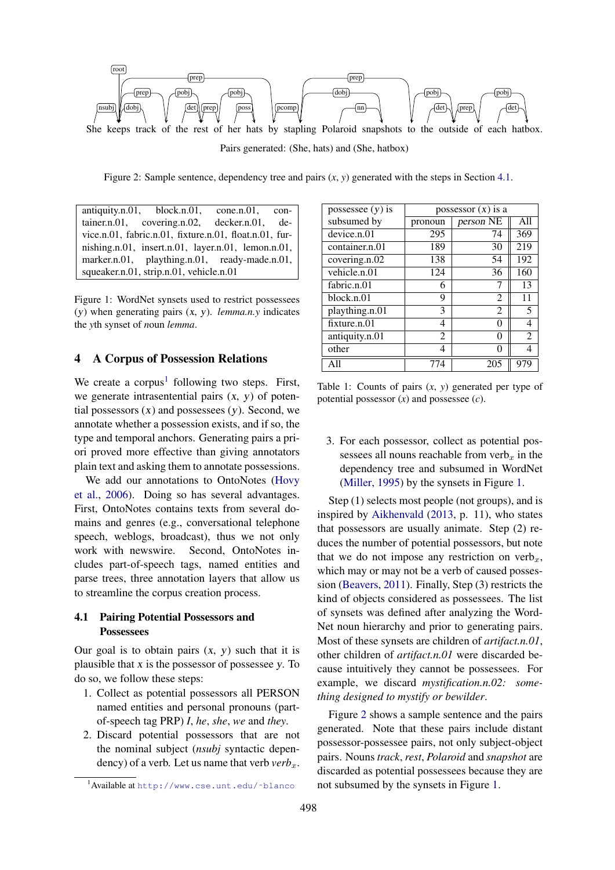

Pairs generated: (She, hats) and (She, hatbox)

Figure 2: Sample sentence, dependency tree and pairs  $(x, y)$  generated with the steps in Section 4.1.

antiquity.n.01, block.n.01, cone.n.01, container.n.01, covering.n.02, decker.n.01, device.n.01, fabric.n.01, fixture.n.01, float.n.01, furnishing.n.01, insert.n.01, layer.n.01, lemon.n.01, marker.n.01, plaything.n.01, ready-made.n.01, squeaker.n.01, strip.n.01, vehicle.n.01

Figure 1: WordNet synsets used to restrict possessees (y) when generating pairs (x, y). *lemma.n.y* indicates the *y*th synset of *n*oun *lemma*.

#### 4 A Corpus of Possession Relations

We create a corpus<sup>1</sup> following two steps. First, we generate intrasentential pairs  $(x, y)$  of potential possessors  $(x)$  and possessees  $(y)$ . Second, we annotate whether a possession exists, and if so, the type and temporal anchors. Generating pairs a priori proved more effective than giving annotators plain text and asking them to annotate possessions.

We add our annotations to OntoNotes (Hovy et al., 2006). Doing so has several advantages. First, OntoNotes contains texts from several domains and genres (e.g., conversational telephone speech, weblogs, broadcast), thus we not only work with newswire. Second, OntoNotes includes part-of-speech tags, named entities and parse trees, three annotation layers that allow us to streamline the corpus creation process.

### 4.1 Pairing Potential Possessors and **Possessees**

Our goal is to obtain pairs  $(x, y)$  such that it is plausible that  $x$  is the possessor of possessee  $y$ . To do so, we follow these steps:

- 1. Collect as potential possessors all PERSON named entities and personal pronouns (partof-speech tag PRP) *I*, *he*, *she*, *we* and *they*.
- 2. Discard potential possessors that are not the nominal subject (*nsubj* syntactic dependency) of a verb. Let us name that verb  $verb_{x}$ .

| possessee $(y)$ is | possessor $(x)$ is a |                |                |  |  |  |  |
|--------------------|----------------------|----------------|----------------|--|--|--|--|
| subsumed by        | pronoun              | person NE      | A11            |  |  |  |  |
| device.n.01        | 295                  | 74             | 369            |  |  |  |  |
| container.n.01     | 189                  | 30             | 219            |  |  |  |  |
| covering.n.02      | 138                  | 54             | 192            |  |  |  |  |
| vehicle.n.01       | 124                  | 36             | 160            |  |  |  |  |
| fabric.n.01        | 6                    | 7              | 13             |  |  |  |  |
| block:n.01         | 9                    | 2              | 11             |  |  |  |  |
| plaything.n.01     | 3                    | $\mathfrak{D}$ | 5              |  |  |  |  |
| fixture.n.01       | 4                    | 0              |                |  |  |  |  |
| antiquity.n.01     | 2                    | 0              | $\mathfrak{D}$ |  |  |  |  |
| other              | 4                    | 0              |                |  |  |  |  |
| A11                | 774                  | 205            | 97             |  |  |  |  |

Table 1: Counts of pairs (*x*, *y*) generated per type of potential possessor (*x*) and possessee (*c*).

3. For each possessor, collect as potential possessees all nouns reachable from verb<sub>x</sub> in the dependency tree and subsumed in WordNet (Miller, 1995) by the synsets in Figure 1.

Step (1) selects most people (not groups), and is inspired by Aikhenvald (2013, p. 11), who states that possessors are usually animate. Step (2) reduces the number of potential possessors, but note that we do not impose any restriction on verb<sub>x</sub>, which may or may not be a verb of caused possession (Beavers, 2011). Finally, Step (3) restricts the kind of objects considered as possessees. The list of synsets was defined after analyzing the Word-Net noun hierarchy and prior to generating pairs. Most of these synsets are children of *artifact.n.01*, other children of *artifact.n.01* were discarded because intuitively they cannot be possessees. For example, we discard *mystification.n.02: something designed to mystify or bewilder*.

Figure 2 shows a sample sentence and the pairs generated. Note that these pairs include distant possessor-possessee pairs, not only subject-object pairs. Nouns *track*, *rest*, *Polaroid* and *snapshot* are discarded as potential possessees because they are not subsumed by the synsets in Figure 1.

<sup>&</sup>lt;sup>1</sup>Available at http://www.cse.unt.edu/~blanco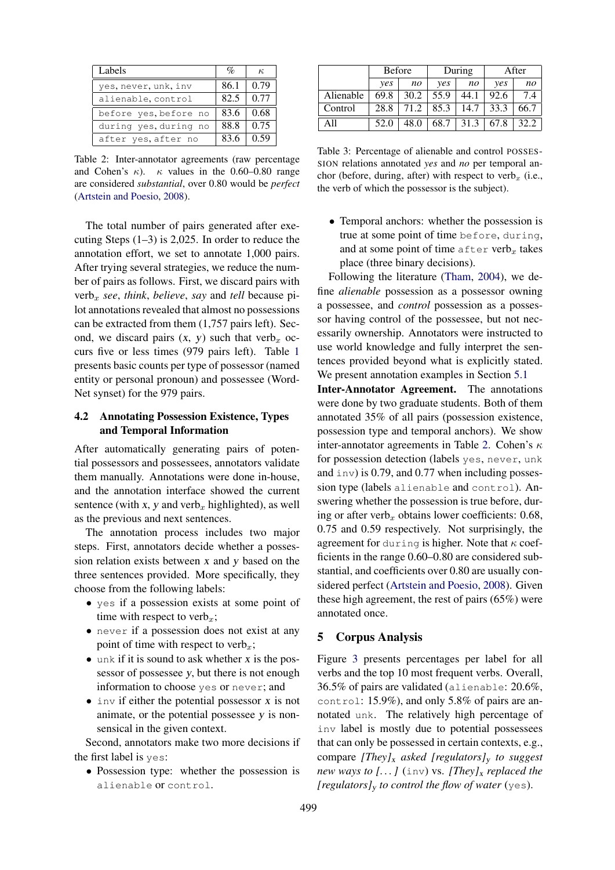| Labels                | $\%$ | $\kappa$ |
|-----------------------|------|----------|
| yes, never, unk, inv  | 86.1 | 0.79     |
| alienable, control    | 82.5 | 0.77     |
| before yes, before no | 83.6 | 0.68     |
| during yes, during no | 88.8 | 0.75     |
| after yes, after no   | 83.6 | 0.59     |

Table 2: Inter-annotator agreements (raw percentage and Cohen's  $\kappa$ ).  $\kappa$  values in the 0.60–0.80 range are considered *substantial*, over 0.80 would be *perfect* (Artstein and Poesio, 2008).

The total number of pairs generated after executing Steps  $(1-3)$  is 2,025. In order to reduce the annotation effort, we set to annotate 1,000 pairs. After trying several strategies, we reduce the number of pairs as follows. First, we discard pairs with  $verb<sub>x</sub>$  *see*, *think*, *believe*, *say* and *tell* because pilot annotations revealed that almost no possessions can be extracted from them (1,757 pairs left). Second, we discard pairs  $(x, y)$  such that verb<sub>x</sub> occurs five or less times (979 pairs left). Table 1 presents basic counts per type of possessor (named entity or personal pronoun) and possessee (Word-Net synset) for the 979 pairs.

### 4.2 Annotating Possession Existence, Types and Temporal Information

After automatically generating pairs of potential possessors and possessees, annotators validate them manually. Annotations were done in-house, and the annotation interface showed the current sentence (with x, y and verb<sub>x</sub> highlighted), as well as the previous and next sentences.

The annotation process includes two major steps. First, annotators decide whether a possession relation exists between x and y based on the three sentences provided. More specifically, they choose from the following labels:

- yes if a possession exists at some point of time with respect to verb<sub>x</sub>;
- never if a possession does not exist at any point of time with respect to verb<sub>x</sub>;
- $\bullet$  unk if it is sound to ask whether x is the possessor of possessee y, but there is not enough information to choose yes or never; and
- $\bullet$  inv if either the potential possessor x is not animate, or the potential possessee y is nonsensical in the given context.

Second, annotators make two more decisions if the first label is yes:

• Possession type: whether the possession is alienable or control.

|           | <b>Before</b> |      |            | During | After |      |  |
|-----------|---------------|------|------------|--------|-------|------|--|
|           | yes           | no   | <i>ves</i> | no     | ves   | no   |  |
| Alienable | 69.8          | 30.2 | 55.9       | 44.1   | 92.6  | 7.4  |  |
| Control   | 28.8          | 71.2 | 85.3       | 14.7   | 33.3  | 66.7 |  |
| A 11      | 52.0          | 48.0 | 68.7       | 31.3   | 67.8  | 32.2 |  |

Table 3: Percentage of alienable and control POSSES-SION relations annotated *yes* and *no* per temporal anchor (before, during, after) with respect to verb<sub>x</sub> (i.e., the verb of which the possessor is the subject).

• Temporal anchors: whether the possession is true at some point of time before, during, and at some point of time after verb<sub>x</sub> takes place (three binary decisions).

Following the literature (Tham, 2004), we define *alienable* possession as a possessor owning a possessee, and *control* possession as a possessor having control of the possessee, but not necessarily ownership. Annotators were instructed to use world knowledge and fully interpret the sentences provided beyond what is explicitly stated. We present annotation examples in Section 5.1

Inter-Annotator Agreement. The annotations were done by two graduate students. Both of them annotated 35% of all pairs (possession existence, possession type and temporal anchors). We show inter-annotator agreements in Table 2. Cohen's  $\kappa$ for possession detection (labels yes, never, unk and  $inv$ ) is 0.79, and 0.77 when including possession type (labels alienable and control). Answering whether the possession is true before, during or after verb<sub>r</sub> obtains lower coefficients:  $0.68$ , 0.75 and 0.59 respectively. Not surprisingly, the agreement for during is higher. Note that  $\kappa$  coefficients in the range 0.60–0.80 are considered substantial, and coefficients over 0.80 are usually considered perfect (Artstein and Poesio, 2008). Given these high agreement, the rest of pairs (65%) were annotated once.

### 5 Corpus Analysis

Figure 3 presents percentages per label for all verbs and the top 10 most frequent verbs. Overall, 36.5% of pairs are validated (alienable: 20.6%, control: 15.9%), and only 5.8% of pairs are annotated unk. The relatively high percentage of inv label is mostly due to potential possessees that can only be possessed in certain contexts, e.g., compare *[They]*<sup>x</sup> *asked [regulators]*<sup>y</sup> *to suggest new ways to [...]* (inv) vs. [They]<sub>x</sub> replaced the *[regulators]*<sup>y</sup> *to control the flow of water* (yes).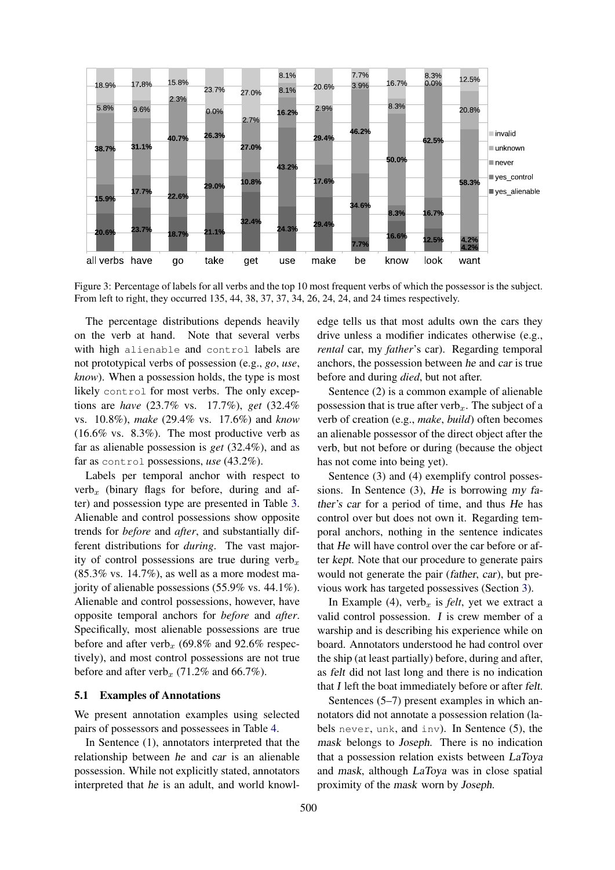

Figure 3: Percentage of labels for all verbs and the top 10 most frequent verbs of which the possessor is the subject. From left to right, they occurred 135, 44, 38, 37, 37, 34, 26, 24, 24, and 24 times respectively.

The percentage distributions depends heavily on the verb at hand. Note that several verbs with high alienable and control labels are not prototypical verbs of possession (e.g., *go*, *use*, *know*). When a possession holds, the type is most likely control for most verbs. The only exceptions are *have* (23.7% vs. 17.7%), *get* (32.4% vs. 10.8%), *make* (29.4% vs. 17.6%) and *know*  $(16.6\% \text{ vs. } 8.3\%)$ . The most productive verb as far as alienable possession is *get* (32.4%), and as far as control possessions, *use* (43.2%).

Labels per temporal anchor with respect to  $verb_{x}$  (binary flags for before, during and after) and possession type are presented in Table 3. Alienable and control possessions show opposite trends for *before* and *after*, and substantially different distributions for *during*. The vast majority of control possessions are true during verb<sub>x</sub>  $(85.3\% \text{ vs. } 14.7\%)$ , as well as a more modest majority of alienable possessions (55.9% vs. 44.1%). Alienable and control possessions, however, have opposite temporal anchors for *before* and *after*. Specifically, most alienable possessions are true before and after verb<sub>x</sub> (69.8% and 92.6% respectively), and most control possessions are not true before and after verb<sub>x</sub> (71.2% and 66.7%).

#### 5.1 Examples of Annotations

We present annotation examples using selected pairs of possessors and possessees in Table 4.

In Sentence (1), annotators interpreted that the relationship between he and car is an alienable possession. While not explicitly stated, annotators interpreted that he is an adult, and world knowledge tells us that most adults own the cars they drive unless a modifier indicates otherwise (e.g., *rental* car, my *father*'s car). Regarding temporal anchors, the possession between he and car is true before and during *died*, but not after.

Sentence (2) is a common example of alienable possession that is true after verb<sub>x</sub>. The subject of a verb of creation (e.g., *make*, *build*) often becomes an alienable possessor of the direct object after the verb, but not before or during (because the object has not come into being yet).

Sentence (3) and (4) exemplify control possessions. In Sentence (3), He is borrowing my father's car for a period of time, and thus He has control over but does not own it. Regarding temporal anchors, nothing in the sentence indicates that He will have control over the car before or after kept. Note that our procedure to generate pairs would not generate the pair (father, car), but previous work has targeted possessives (Section 3).

In Example (4), verb<sub>x</sub> is *felt*, yet we extract a valid control possession. I is crew member of a warship and is describing his experience while on board. Annotators understood he had control over the ship (at least partially) before, during and after, as felt did not last long and there is no indication that I left the boat immediately before or after felt.

Sentences (5–7) present examples in which annotators did not annotate a possession relation (labels never, unk, and inv). In Sentence (5), the mask belongs to Joseph. There is no indication that a possession relation exists between LaToya and mask, although LaToya was in close spatial proximity of the mask worn by Joseph.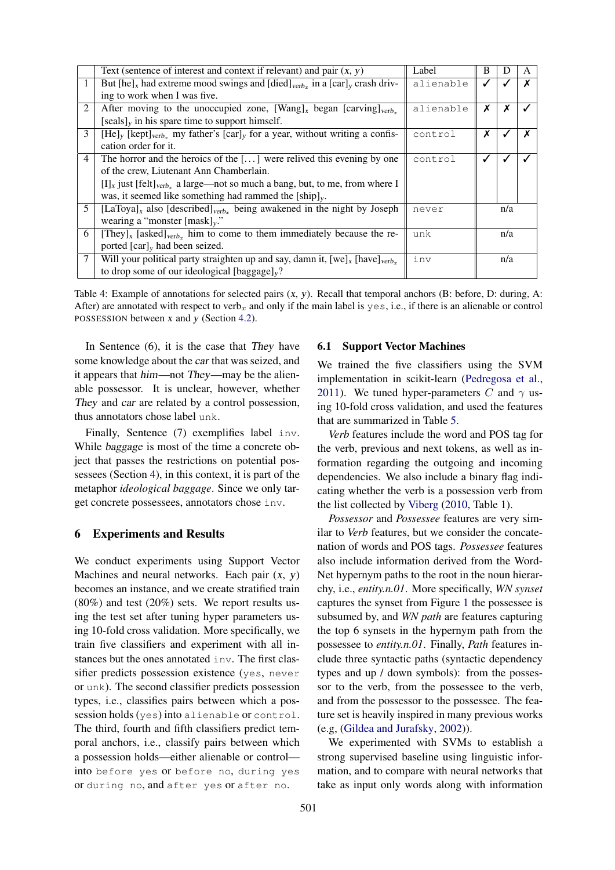|                | Text (sentence of interest and context if relevant) and pair $(x, y)$                                             | Label     | B |     | A |  |  |  |
|----------------|-------------------------------------------------------------------------------------------------------------------|-----------|---|-----|---|--|--|--|
|                | But $[\text{he}]_x$ had extreme mood swings and $[\text{died}]_{\text{verb}_x}$ in a $[\text{car}]_y$ crash driv- | alienable |   |     |   |  |  |  |
|                | ing to work when I was five.                                                                                      |           |   |     |   |  |  |  |
| 2              | After moving to the unoccupied zone, $[Wang]_x$ began $[carving]_{verb_x}$                                        | alienable | Х |     |   |  |  |  |
|                | $[seals]_v$ in his spare time to support himself.                                                                 |           |   |     |   |  |  |  |
| 3              | $[He]_y$ [kept] <sub>verb<sub>x</sub></sub> my father's [car] <sub>y</sub> for a year, without writing a confis-  | control   | х |     |   |  |  |  |
|                | cation order for it.                                                                                              |           |   |     |   |  |  |  |
| 4              | The horror and the heroics of the $[\dots]$ were relived this evening by one                                      | control   |   |     |   |  |  |  |
|                | of the crew, Liutenant Ann Chamberlain.                                                                           |           |   |     |   |  |  |  |
|                | $[I]_x$ just [felt] <sub>verb<sub>r</sub></sub> a large—not so much a bang, but, to me, from where I              |           |   |     |   |  |  |  |
|                | was, it seemed like something had rammed the $[ship]_v$ .                                                         |           |   |     |   |  |  |  |
| 5 <sup>5</sup> | [LaToya] <sub>x</sub> also [described] <sub>verb<sub>r</sub></sub> being awakened in the night by Joseph<br>never |           |   |     |   |  |  |  |
|                | wearing a "monster ${\rm [mask]}_v$ ."                                                                            |           |   |     |   |  |  |  |
| 6              | [They] <sub>x</sub> [asked] <sub>verb<sub>r</sub></sub> him to come to them immediately because the re-<br>unk    |           |   |     |   |  |  |  |
|                | ported $[car]_v$ had been seized.                                                                                 |           |   |     |   |  |  |  |
| 7              | Will your political party straighten up and say, damn it, $[we]_x$ [have] <sub>verb-</sub>                        | inv       |   | n/a |   |  |  |  |
|                | to drop some of our ideological [baggage] $v$ ?                                                                   |           |   |     |   |  |  |  |

Table 4: Example of annotations for selected pairs  $(x, y)$ . Recall that temporal anchors (B: before, D: during, A: After) are annotated with respect to verb<sub>x</sub> and only if the main label is  $y \in s$ , i.e., if there is an alienable or control POSSESSION between x and y (Section 4.2).

In Sentence (6), it is the case that They have some knowledge about the car that was seized, and it appears that him—not They—may be the alienable possessor. It is unclear, however, whether They and car are related by a control possession. thus annotators chose label unk.

Finally, Sentence (7) exemplifies label inv. While baggage is most of the time a concrete object that passes the restrictions on potential possessees (Section 4), in this context, it is part of the metaphor *ideological baggage*. Since we only target concrete possessees, annotators chose inv.

#### 6 Experiments and Results

We conduct experiments using Support Vector Machines and neural networks. Each pair  $(x, y)$ becomes an instance, and we create stratified train (80%) and test (20%) sets. We report results using the test set after tuning hyper parameters using 10-fold cross validation. More specifically, we train five classifiers and experiment with all instances but the ones annotated inv. The first classifier predicts possession existence (yes, never or unk). The second classifier predicts possession types, i.e., classifies pairs between which a possession holds (yes) into alienable or control. The third, fourth and fifth classifiers predict temporal anchors, i.e., classify pairs between which a possession holds—either alienable or control into before yes or before no, during yes or during no, and after yes or after no.

## 6.1 Support Vector Machines

We trained the five classifiers using the SVM implementation in scikit-learn (Pedregosa et al., 2011). We tuned hyper-parameters C and  $\gamma$  using 10-fold cross validation, and used the features that are summarized in Table 5.

*Verb* features include the word and POS tag for the verb, previous and next tokens, as well as information regarding the outgoing and incoming dependencies. We also include a binary flag indicating whether the verb is a possession verb from the list collected by Viberg (2010, Table 1).

*Possessor* and *Possessee* features are very similar to *Verb* features, but we consider the concatenation of words and POS tags. *Possessee* features also include information derived from the Word-Net hypernym paths to the root in the noun hierarchy, i.e., *entity.n.01*. More specifically, *WN synset* captures the synset from Figure 1 the possessee is subsumed by, and *WN path* are features capturing the top 6 synsets in the hypernym path from the possessee to *entity.n.01*. Finally, *Path* features include three syntactic paths (syntactic dependency types and up / down symbols): from the possessor to the verb, from the possessee to the verb, and from the possessor to the possessee. The feature set is heavily inspired in many previous works (e.g, (Gildea and Jurafsky, 2002)).

We experimented with SVMs to establish a strong supervised baseline using linguistic information, and to compare with neural networks that take as input only words along with information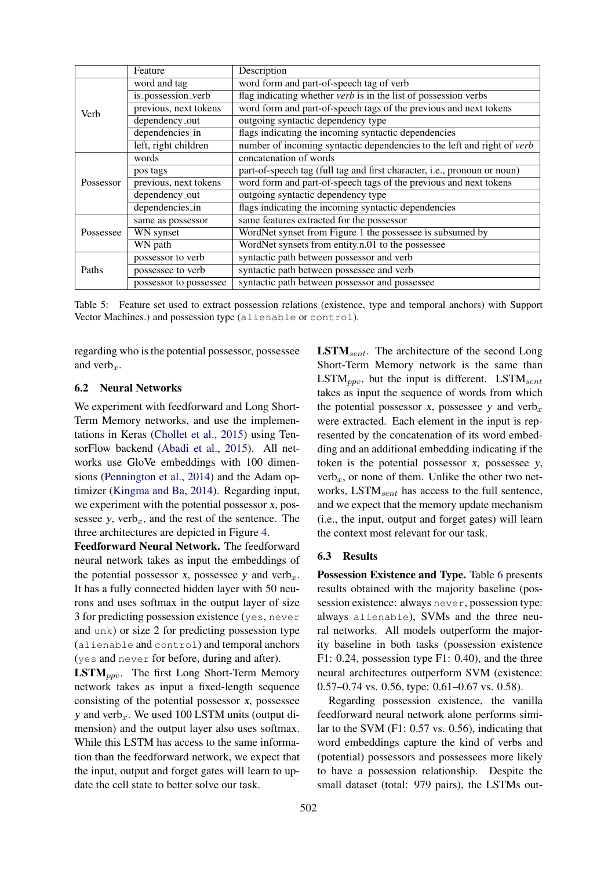|           | Feature                | Description                                                              |  |  |  |  |  |  |
|-----------|------------------------|--------------------------------------------------------------------------|--|--|--|--|--|--|
|           | word and tag           | word form and part-of-speech tag of verb                                 |  |  |  |  |  |  |
|           | is_possession_verb     | flag indicating whether verb is in the list of possession verbs          |  |  |  |  |  |  |
| Verb      | previous, next tokens  | word form and part-of-speech tags of the previous and next tokens        |  |  |  |  |  |  |
|           | dependency_out         | outgoing syntactic dependency type                                       |  |  |  |  |  |  |
|           | dependencies_in        | flags indicating the incoming syntactic dependencies                     |  |  |  |  |  |  |
|           | left, right children   | number of incoming syntactic dependencies to the left and right of verb  |  |  |  |  |  |  |
|           | words                  | concatenation of words                                                   |  |  |  |  |  |  |
|           | pos tags               | part-of-speech tag (full tag and first character, i.e., pronoun or noun) |  |  |  |  |  |  |
| Possessor | previous, next tokens  | word form and part-of-speech tags of the previous and next tokens        |  |  |  |  |  |  |
|           | dependency_out         | outgoing syntactic dependency type                                       |  |  |  |  |  |  |
|           | dependencies_in        | flags indicating the incoming syntactic dependencies                     |  |  |  |  |  |  |
|           | same as possessor      | same features extracted for the possessor                                |  |  |  |  |  |  |
| Possessee | WN synset              | WordNet synset from Figure 1 the possessee is subsumed by                |  |  |  |  |  |  |
|           | WN path                | WordNet synsets from entity.n.01 to the possessee                        |  |  |  |  |  |  |
|           | possessor to verb      | syntactic path between possessor and verb                                |  |  |  |  |  |  |
| Paths     | possessee to verb      | syntactic path between possessee and verb                                |  |  |  |  |  |  |
|           | possessor to possessee | syntactic path between possessor and possessee                           |  |  |  |  |  |  |

Table 5: Feature set used to extract possession relations (existence, type and temporal anchors) with Support Vector Machines.) and possession type (alienable or control).

regarding who is the potential possessor, possessee and verb $_{r}$ .

#### 6.2 Neural Networks

We experiment with feedforward and Long Short-Term Memory networks, and use the implementations in Keras (Chollet et al., 2015) using TensorFlow backend (Abadi et al., 2015). All networks use GloVe embeddings with 100 dimensions (Pennington et al., 2014) and the Adam optimizer (Kingma and Ba, 2014). Regarding input, we experiment with the potential possessor x, possessee y,  $verb_n$ , and the rest of the sentence. The three architectures are depicted in Figure 4.

Feedforward Neural Network. The feedforward neural network takes as input the embeddings of the potential possessor x, possessee y and verb $<sub>x</sub>$ .</sub> It has a fully connected hidden layer with 50 neurons and uses softmax in the output layer of size 3 for predicting possession existence (yes, never and unk) or size 2 for predicting possession type (alienable and control) and temporal anchors (yes and never for before, during and after).

 $\text{LSTM}_{ppv}$ . The first Long Short-Term Memory network takes as input a fixed-length sequence consisting of the potential possessor x, possessee y and verb $<sub>x</sub>$ . We used 100 LSTM units (output di-</sub> mension) and the output layer also uses softmax. While this LSTM has access to the same information than the feedforward network, we expect that the input, output and forget gates will learn to update the cell state to better solve our task.

 $\text{LSTM}_{sent}$ . The architecture of the second Long Short-Term Memory network is the same than  $\text{LSTM}_{nmv}$ , but the input is different.  $\text{LSTM}_{sent}$ takes as input the sequence of words from which the potential possessor x, possessee y and verb $<sub>x</sub>$ </sub> were extracted. Each element in the input is represented by the concatenation of its word embedding and an additional embedding indicating if the token is the potential possessor  $x$ , possessee  $y$ ,  $verb<sub>x</sub>$ , or none of them. Unlike the other two networks,  $\text{LSTM}_{sent}$  has access to the full sentence, and we expect that the memory update mechanism (i.e., the input, output and forget gates) will learn the context most relevant for our task.

#### 6.3 Results

Possession Existence and Type. Table 6 presents results obtained with the majority baseline (possession existence: always never, possession type: always alienable), SVMs and the three neural networks. All models outperform the majority baseline in both tasks (possession existence F1: 0.24, possession type F1: 0.40), and the three neural architectures outperform SVM (existence: 0.57–0.74 vs. 0.56, type: 0.61–0.67 vs. 0.58).

Regarding possession existence, the vanilla feedforward neural network alone performs similar to the SVM (F1: 0.57 vs. 0.56), indicating that word embeddings capture the kind of verbs and (potential) possessors and possessees more likely to have a possession relationship. Despite the small dataset (total: 979 pairs), the LSTMs out-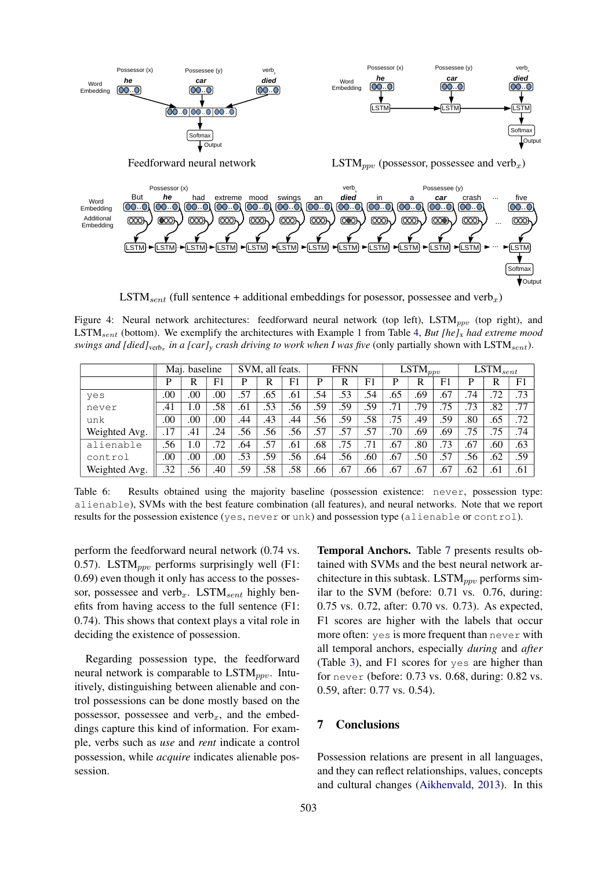

 $\text{LSTM}_{sent}$  (full sentence + additional embeddings for posessor, possessee and verb<sub>x</sub>)

Figure 4: Neural network architectures: feedforward neural network (top left), LSTM<sub>ppv</sub> (top right), and LSTMsent (bottom). We exemplify the architectures with Example 1 from Table 4, *But [he]*<sup>x</sup> *had extreme mood swings and [died]<sub>verb<sub>x</sub></sub> in a [car]<sub>y</sub> crash driving to work when I was five (only partially shown with*  $\mathrm{LSTM}_{sent}$ *).* 

|               |     | Maj. baseline |                | SVM, all feats. |     | <b>FFNN</b> |     |                  | $\overline{\text{LSTM}}_{ppv}$ |     |     | $\overline{\text{LSTM}}_{sent}$ |     |     |                |
|---------------|-----|---------------|----------------|-----------------|-----|-------------|-----|------------------|--------------------------------|-----|-----|---------------------------------|-----|-----|----------------|
|               | P   | R             | F <sub>1</sub> | D               | R   | F1          | P   | R                | F1                             | P   | R   | F <sub>1</sub>                  | P   | R   | F <sub>1</sub> |
| yes           | .00 | .00           | .00            | .57             | .65 | .61         | .54 | .53              | .54                            | .65 | .69 | .67                             | .74 | .72 | .73            |
| never         | .41 | 1.0           | .58            | .61             | .53 | .56         | .59 | .59              | .59                            | .71 | .79 | .75                             | .73 | .82 | .77            |
| unk           | .00 | .00.          | .00            | .44             | .43 | .44         | .56 | $\overline{.59}$ | .58                            | .75 | .49 | .59                             | .80 | .65 | .72            |
| Weighted Avg. | .17 | .41           | .24            | .56             | .56 | .56         | .57 | .57              | $\overline{57}$                | .70 | .69 | .69                             | .75 | .75 | .74            |
| alienable     | .56 | 1.0           | .72            | .64             | .57 | .61         | .68 | .75              | .71                            | .67 | .80 | .73                             | .67 | .60 | .63            |
| control       | .00 | .00.          | .00            | .53             | .59 | .56         | .64 | .56              | .60                            | .67 | .50 | .57                             | .56 | .62 | .59            |
| Weighted Avg. | .32 | .56           | .40            | .59             | .58 | .58         | .66 | .67              | .66                            | .67 | .67 | .67                             | .62 | .61 | .61            |

Table 6: Results obtained using the majority baseline (possession existence: never, possession type: alienable), SVMs with the best feature combination (all features), and neural networks. Note that we report results for the possession existence (yes, never or unk) and possession type (alienable or control).

perform the feedforward neural network (0.74 vs. 0.57). LSTM<sub>ppv</sub> performs surprisingly well (F1: 0.69) even though it only has access to the possessor, possessee and verb<sub>x</sub>. LSTM<sub>sent</sub> highly benefits from having access to the full sentence (F1: 0.74). This shows that context plays a vital role in deciding the existence of possession.

Regarding possession type, the feedforward neural network is comparable to  $\text{LSTM}_{ppv}$ . Intuitively, distinguishing between alienable and control possessions can be done mostly based on the possessor, possessee and  $verb<sub>x</sub>$ , and the embeddings capture this kind of information. For example, verbs such as *use* and *rent* indicate a control possession, while *acquire* indicates alienable possession.

Temporal Anchors. Table 7 presents results obtained with SVMs and the best neural network architecture in this subtask. LSTM<sub>ppv</sub> performs similar to the SVM (before: 0.71 vs. 0.76, during: 0.75 vs. 0.72, after: 0.70 vs. 0.73). As expected, F1 scores are higher with the labels that occur more often: yes is more frequent than never with all temporal anchors, especially *during* and *after* (Table 3), and F1 scores for yes are higher than for never (before: 0.73 vs. 0.68, during: 0.82 vs. 0.59, after: 0.77 vs. 0.54).

### 7 Conclusions

Possession relations are present in all languages, and they can reflect relationships, values, concepts and cultural changes (Aikhenvald, 2013). In this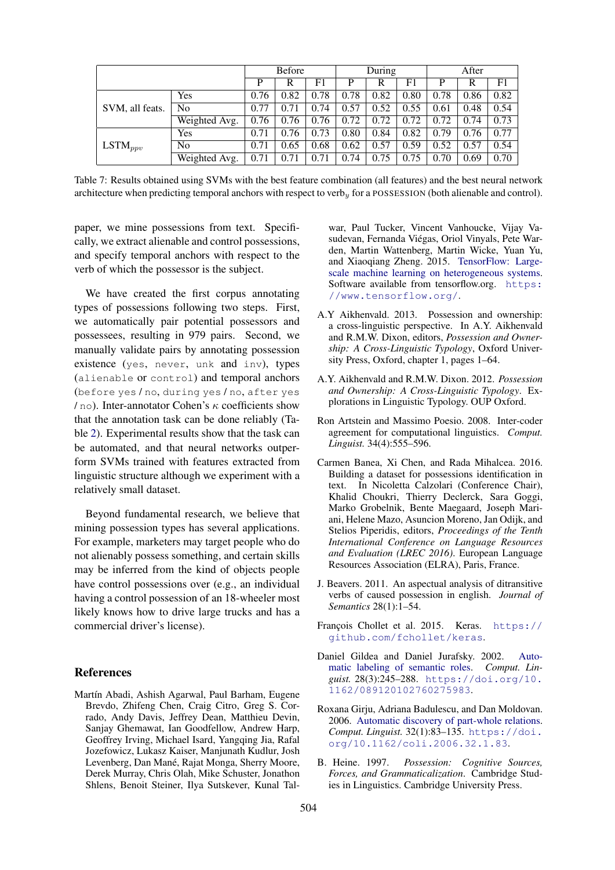|                     |                |      | <b>Before</b> |                   |      | During |      | After |      |      |
|---------------------|----------------|------|---------------|-------------------|------|--------|------|-------|------|------|
|                     |                | P    | R             | F1                | P    | R      | F1   | P     | R    | F1   |
| SVM, all feats.     | Yes            | 0.76 | 0.82          | 0.78              | 0.78 | 0.82   | 0.80 | 0.78  | 0.86 | 0.82 |
|                     | N <sub>o</sub> | 0.77 | 0.71          | .74<br>$\Omega$ . | 0.57 | 0.52   | 0.55 | 0.61  | 0.48 | 0.54 |
|                     | Weighted Avg.  | 0.76 | 0.76          | 0.76              | 0.72 | 0.72   | 0.72 | 0.72  | 0.74 | 0.73 |
| $\text{LSTM}_{ppv}$ | Yes            | 0.71 | 0.76          | 0.73              | 0.80 | 0.84   | 0.82 | 0.79  | 0.76 | 0.77 |
|                     | N <sub>0</sub> | 0.71 | 0.65          | 0.68              | 0.62 | 0.57   | 0.59 | 0.52  | 0.57 | 0.54 |
|                     | Weighted Avg.  | 0.71 | 0.71          | 0.71              | 0.74 | 0.75   | 0.75 | 0.70  | 0.69 | 0.70 |

Table 7: Results obtained using SVMs with the best feature combination (all features) and the best neural network architecture when predicting temporal anchors with respect to verb<sub>y</sub> for a POSSESSION (both alienable and control).

paper, we mine possessions from text. Specifically, we extract alienable and control possessions, and specify temporal anchors with respect to the verb of which the possessor is the subject.

We have created the first corpus annotating types of possessions following two steps. First, we automatically pair potential possessors and possessees, resulting in 979 pairs. Second, we manually validate pairs by annotating possession existence (yes, never, unk and inv), types (alienable or control) and temporal anchors (before yes / no, during yes / no, after yes  $/$  no). Inter-annotator Cohen's  $\kappa$  coefficients show that the annotation task can be done reliably (Table 2). Experimental results show that the task can be automated, and that neural networks outperform SVMs trained with features extracted from linguistic structure although we experiment with a relatively small dataset.

Beyond fundamental research, we believe that mining possession types has several applications. For example, marketers may target people who do not alienably possess something, and certain skills may be inferred from the kind of objects people have control possessions over (e.g., an individual having a control possession of an 18-wheeler most likely knows how to drive large trucks and has a commercial driver's license).

### References

Martín Abadi, Ashish Agarwal, Paul Barham, Eugene Brevdo, Zhifeng Chen, Craig Citro, Greg S. Corrado, Andy Davis, Jeffrey Dean, Matthieu Devin, Sanjay Ghemawat, Ian Goodfellow, Andrew Harp, Geoffrey Irving, Michael Isard, Yangqing Jia, Rafal Jozefowicz, Lukasz Kaiser, Manjunath Kudlur, Josh Levenberg, Dan Mané, Rajat Monga, Sherry Moore, Derek Murray, Chris Olah, Mike Schuster, Jonathon Shlens, Benoit Steiner, Ilya Sutskever, Kunal Talwar, Paul Tucker, Vincent Vanhoucke, Vijay Vasudevan, Fernanda Viegas, Oriol Vinyals, Pete War- ´ den, Martin Wattenberg, Martin Wicke, Yuan Yu, and Xiaoqiang Zheng. 2015. TensorFlow: Largescale machine learning on heterogeneous systems. Software available from tensorflow.org. https: //www.tensorflow.org/.

- A.Y Aikhenvald. 2013. Possession and ownership: a cross-linguistic perspective. In A.Y. Aikhenvald and R.M.W. Dixon, editors, *Possession and Ownership: A Cross-Linguistic Typology*, Oxford University Press, Oxford, chapter 1, pages 1–64.
- A.Y. Aikhenvald and R.M.W. Dixon. 2012. *Possession and Ownership: A Cross-Linguistic Typology*. Explorations in Linguistic Typology. OUP Oxford.
- Ron Artstein and Massimo Poesio. 2008. Inter-coder agreement for computational linguistics. *Comput. Linguist.* 34(4):555–596.
- Carmen Banea, Xi Chen, and Rada Mihalcea. 2016. Building a dataset for possessions identification in text. In Nicoletta Calzolari (Conference Chair), Khalid Choukri, Thierry Declerck, Sara Goggi, Marko Grobelnik, Bente Maegaard, Joseph Mariani, Helene Mazo, Asuncion Moreno, Jan Odijk, and Stelios Piperidis, editors, *Proceedings of the Tenth International Conference on Language Resources and Evaluation (LREC 2016)*. European Language Resources Association (ELRA), Paris, France.
- J. Beavers. 2011. An aspectual analysis of ditransitive verbs of caused possession in english. *Journal of Semantics* 28(1):1–54.
- François Chollet et al. 2015. Keras. https:// github.com/fchollet/keras.
- Daniel Gildea and Daniel Jurafsky. 2002. Automatic labeling of semantic roles. *Comput. Linguist.* 28(3):245–288. https://doi.org/10. 1162/089120102760275983.
- Roxana Girju, Adriana Badulescu, and Dan Moldovan. 2006. Automatic discovery of part-whole relations. *Comput. Linguist.* 32(1):83–135. https://doi. org/10.1162/coli.2006.32.1.83.
- B. Heine. 1997. *Possession: Cognitive Sources, Forces, and Grammaticalization*. Cambridge Studies in Linguistics. Cambridge University Press.